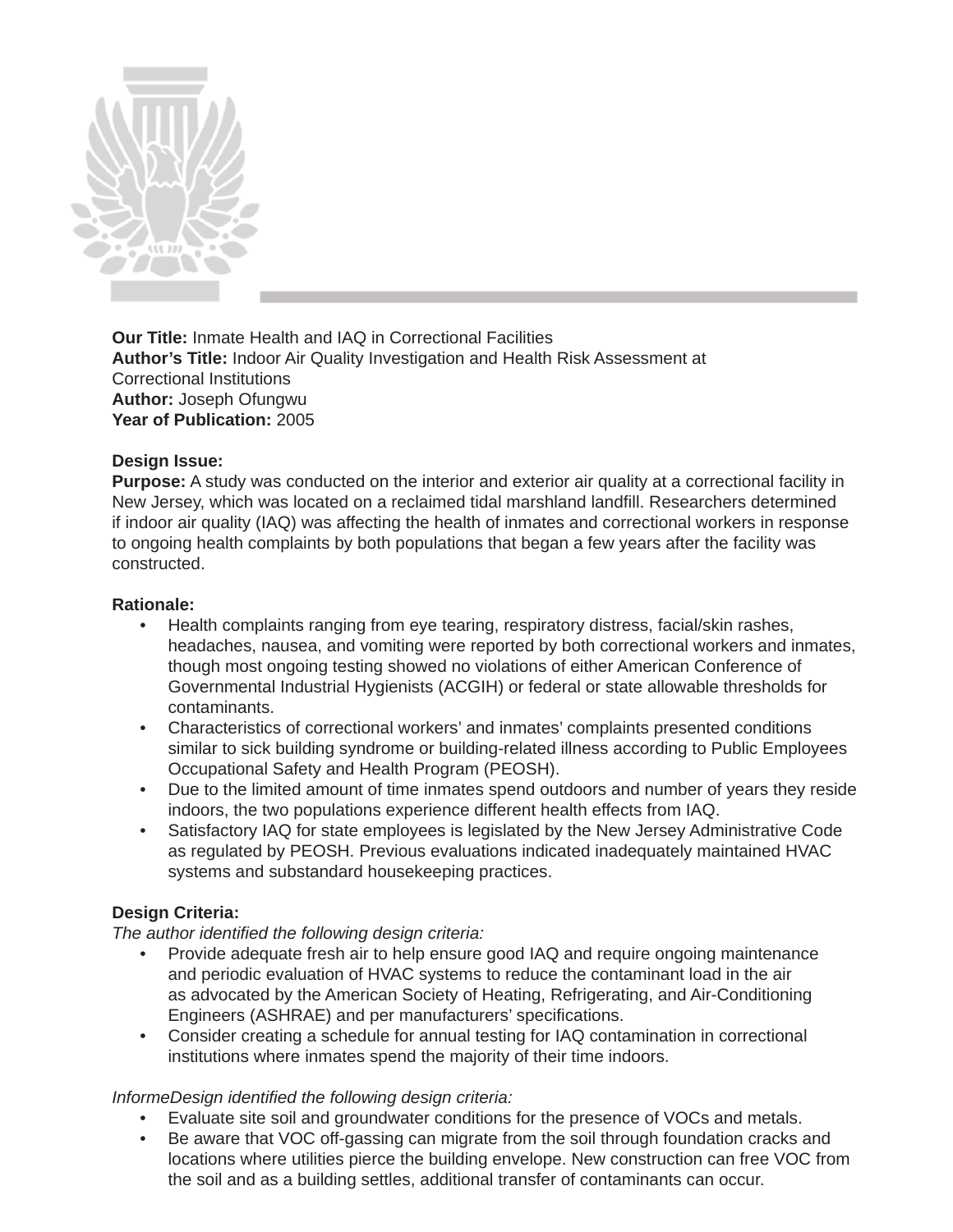

**Our Title:** Inmate Health and IAQ in Correctional Facilities **Author's Title:** Indoor Air Quality Investigation and Health Risk Assessment at Correctional Institutions **Author:** Joseph Ofungwu **Year of Publication:** 2005

# **Design Issue:**

**Purpose:** A study was conducted on the interior and exterior air quality at a correctional facility in New Jersey, which was located on a reclaimed tidal marshland landfill. Researchers determined if indoor air quality (IAQ) was affecting the health of inmates and correctional workers in response to ongoing health complaints by both populations that began a few years after the facility was constructed.

## **Rationale:**

- Health complaints ranging from eye tearing, respiratory distress, facial/skin rashes, headaches, nausea, and vomiting were reported by both correctional workers and inmates, though most ongoing testing showed no violations of either American Conference of Governmental Industrial Hygienists (ACGIH) or federal or state allowable thresholds for contaminants.
- Characteristics of correctional workers' and inmates' complaints presented conditions similar to sick building syndrome or building-related illness according to Public Employees Occupational Safety and Health Program (PEOSH).
- Due to the limited amount of time inmates spend outdoors and number of years they reside indoors, the two populations experience different health effects from IAQ.
- Satisfactory IAQ for state employees is legislated by the New Jersey Administrative Code as regulated by PEOSH. Previous evaluations indicated inadequately maintained HVAC systems and substandard housekeeping practices.

## **Design Criteria:**

*The author identified the following design criteria:* 

- Provide adequate fresh air to help ensure good IAQ and require ongoing maintenance and periodic evaluation of HVAC systems to reduce the contaminant load in the air as advocated by the American Society of Heating, Refrigerating, and Air-Conditioning Engineers (ASHRAE) and per manufacturers' specifications.
- Consider creating a schedule for annual testing for IAQ contamination in correctional institutions where inmates spend the majority of their time indoors.

## *InformeDesign identified the following design criteria:*

- Evaluate site soil and groundwater conditions for the presence of VOCs and metals.
- Be aware that VOC off-gassing can migrate from the soil through foundation cracks and locations where utilities pierce the building envelope. New construction can free VOC from the soil and as a building settles, additional transfer of contaminants can occur.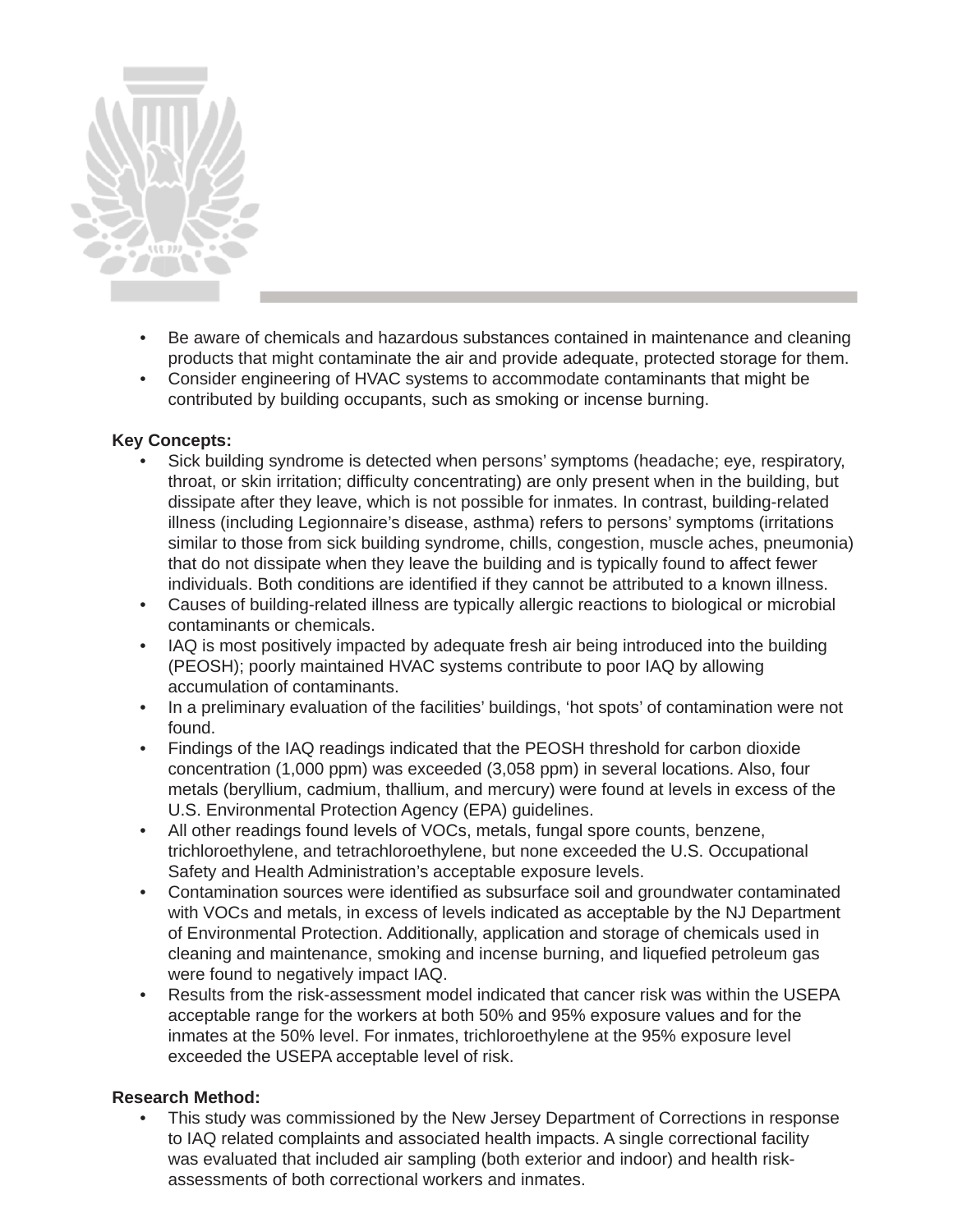

- Be aware of chemicals and hazardous substances contained in maintenance and cleaning products that might contaminate the air and provide adequate, protected storage for them.
- Consider engineering of HVAC systems to accommodate contaminants that might be contributed by building occupants, such as smoking or incense burning.

# **Key Concepts:**

- Sick building syndrome is detected when persons' symptoms (headache; eye, respiratory, throat, or skin irritation; difficulty concentrating) are only present when in the building, but dissipate after they leave, which is not possible for inmates. In contrast, building-related illness (including Legionnaire's disease, asthma) refers to persons' symptoms (irritations similar to those from sick building syndrome, chills, congestion, muscle aches, pneumonia) that do not dissipate when they leave the building and is typically found to affect fewer individuals. Both conditions are identified if they cannot be attributed to a known illness.
- Causes of building-related illness are typically allergic reactions to biological or microbial contaminants or chemicals.
- IAQ is most positively impacted by adequate fresh air being introduced into the building (PEOSH); poorly maintained HVAC systems contribute to poor IAQ by allowing accumulation of contaminants.
- In a preliminary evaluation of the facilities' buildings, 'hot spots' of contamination were not found.
- Findings of the IAQ readings indicated that the PEOSH threshold for carbon dioxide concentration (1,000 ppm) was exceeded (3,058 ppm) in several locations. Also, four metals (beryllium, cadmium, thallium, and mercury) were found at levels in excess of the U.S. Environmental Protection Agency (EPA) guidelines.
- All other readings found levels of VOCs, metals, fungal spore counts, benzene, trichloroethylene, and tetrachloroethylene, but none exceeded the U.S. Occupational Safety and Health Administration's acceptable exposure levels.
- Contamination sources were identified as subsurface soil and groundwater contaminated with VOCs and metals, in excess of levels indicated as acceptable by the NJ Department of Environmental Protection. Additionally, application and storage of chemicals used in cleaning and maintenance, smoking and incense burning, and liquefied petroleum gas were found to negatively impact IAQ.
- Results from the risk-assessment model indicated that cancer risk was within the USEPA acceptable range for the workers at both 50% and 95% exposure values and for the inmates at the 50% level. For inmates, trichloroethylene at the 95% exposure level exceeded the USEPA acceptable level of risk.

# **Research Method:**

• This study was commissioned by the New Jersey Department of Corrections in response to IAQ related complaints and associated health impacts. A single correctional facility was evaluated that included air sampling (both exterior and indoor) and health riskassessments of both correctional workers and inmates.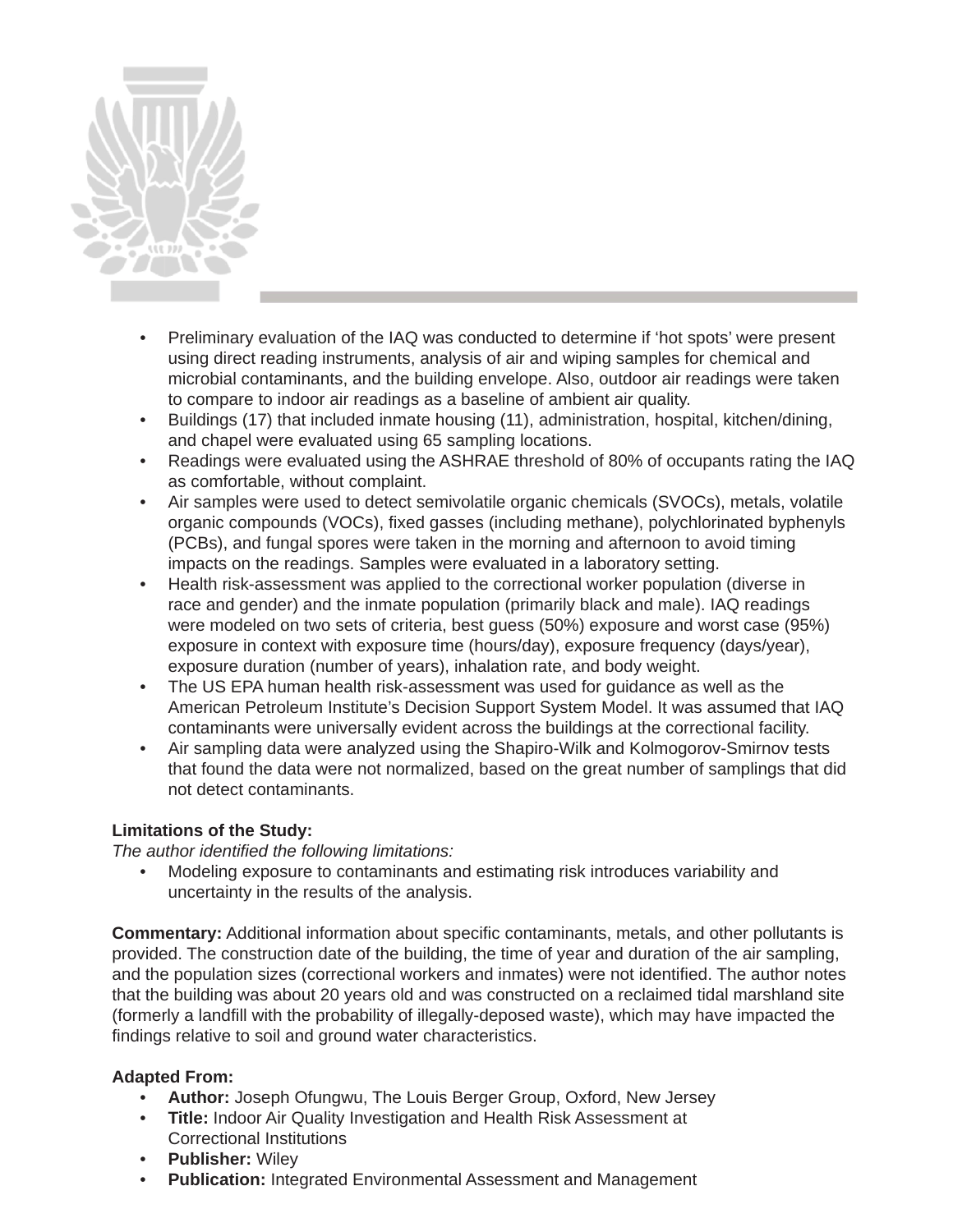

- Preliminary evaluation of the IAQ was conducted to determine if 'hot spots' were present using direct reading instruments, analysis of air and wiping samples for chemical and microbial contaminants, and the building envelope. Also, outdoor air readings were taken to compare to indoor air readings as a baseline of ambient air quality.
- Buildings (17) that included inmate housing (11), administration, hospital, kitchen/dining, and chapel were evaluated using 65 sampling locations.
- Readings were evaluated using the ASHRAE threshold of 80% of occupants rating the IAQ as comfortable, without complaint.
- Air samples were used to detect semivolatile organic chemicals (SVOCs), metals, volatile organic compounds (VOCs), fixed gasses (including methane), polychlorinated byphenyls (PCBs), and fungal spores were taken in the morning and afternoon to avoid timing impacts on the readings. Samples were evaluated in a laboratory setting.
- Health risk-assessment was applied to the correctional worker population (diverse in race and gender) and the inmate population (primarily black and male). IAQ readings were modeled on two sets of criteria, best guess (50%) exposure and worst case (95%) exposure in context with exposure time (hours/day), exposure frequency (days/year), exposure duration (number of years), inhalation rate, and body weight.
- The US EPA human health risk-assessment was used for guidance as well as the American Petroleum Institute's Decision Support System Model. It was assumed that IAQ contaminants were universally evident across the buildings at the correctional facility.
- Air sampling data were analyzed using the Shapiro-Wilk and Kolmogorov-Smirnov tests that found the data were not normalized, based on the great number of samplings that did not detect contaminants.

# **Limitations of the Study:**

*The author identified the following limitations:* 

• Modeling exposure to contaminants and estimating risk introduces variability and uncertainty in the results of the analysis.

**Commentary:** Additional information about specific contaminants, metals, and other pollutants is provided. The construction date of the building, the time of year and duration of the air sampling, and the population sizes (correctional workers and inmates) were not identified. The author notes that the building was about 20 years old and was constructed on a reclaimed tidal marshland site (formerly a landfill with the probability of illegally-deposed waste), which may have impacted the findings relative to soil and ground water characteristics.

## **Adapted From:**

- **Author:** Joseph Ofungwu, The Louis Berger Group, Oxford, New Jersey
- **Title:** Indoor Air Quality Investigation and Health Risk Assessment at Correctional Institutions
- **Publisher:** Wiley
- **Publication:** Integrated Environmental Assessment and Management